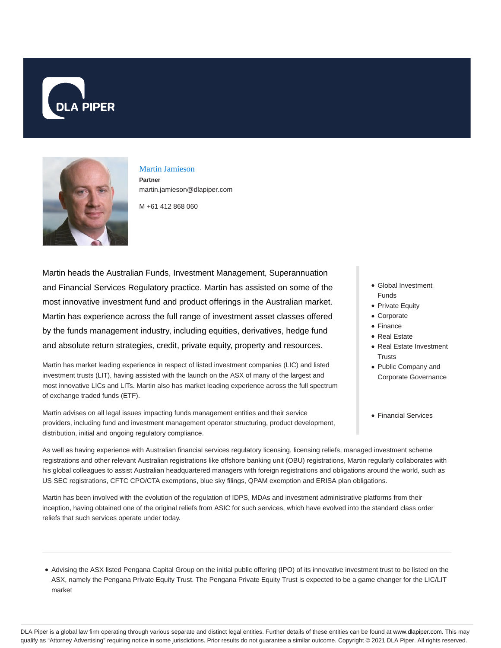



# Martin Jamieson

**Partner** martin.jamieson@dlapiper.com

M +61 412 868 060

Martin heads the Australian Funds, Investment Management, Superannuation and Financial Services Regulatory practice. Martin has assisted on some of the most innovative investment fund and product offerings in the Australian market. Martin has experience across the full range of investment asset classes offered by the funds management industry, including equities, derivatives, hedge fund and absolute return strategies, credit, private equity, property and resources.

Martin has market leading experience in respect of listed investment companies (LIC) and listed investment trusts (LIT), having assisted with the launch on the ASX of many of the largest and most innovative LICs and LITs. Martin also has market leading experience across the full spectrum of exchange traded funds (ETF).

Martin advises on all legal issues impacting funds management entities and their service providers, including fund and investment management operator structuring, product development, distribution, initial and ongoing regulatory compliance.

- Global Investment Funds
- Private Equity
- Corporate
- Finance
- Real Estate
- Real Estate Investment **Trusts**
- Public Company and Corporate Governance
- Financial Services

As well as having experience with Australian financial services regulatory licensing, licensing reliefs, managed investment scheme registrations and other relevant Australian registrations like offshore banking unit (OBU) registrations, Martin regularly collaborates with his global colleagues to assist Australian headquartered managers with foreign registrations and obligations around the world, such as US SEC registrations, CFTC CPO/CTA exemptions, blue sky filings, QPAM exemption and ERISA plan obligations.

Martin has been involved with the evolution of the regulation of IDPS, MDAs and investment administrative platforms from their inception, having obtained one of the original reliefs from ASIC for such services, which have evolved into the standard class order reliefs that such services operate under today.

Advising the ASX listed Pengana Capital Group on the initial public offering (IPO) of its innovative investment trust to be listed on the ASX, namely the Pengana Private Equity Trust. The Pengana Private Equity Trust is expected to be a game changer for the LIC/LIT market

DLA Piper is a global law firm operating through various separate and distinct legal entities. Further details of these entities can be found at www.dlapiper.com. This may qualify as "Attorney Advertising" requiring notice in some jurisdictions. Prior results do not guarantee a similar outcome. Copyright © 2021 DLA Piper. All rights reserved.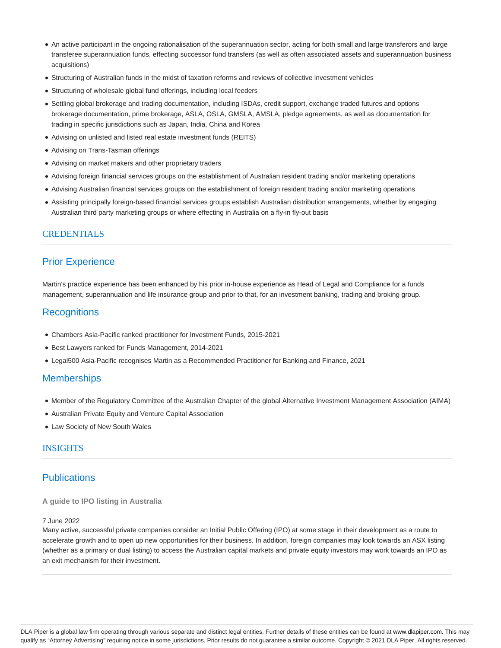- An active participant in the ongoing rationalisation of the superannuation sector, acting for both small and large transferors and large transferee superannuation funds, effecting successor fund transfers (as well as often associated assets and superannuation business acquisitions)
- Structuring of Australian funds in the midst of taxation reforms and reviews of collective investment vehicles
- Structuring of wholesale global fund offerings, including local feeders
- Settling global brokerage and trading documentation, including ISDAs, credit support, exchange traded futures and options brokerage documentation, prime brokerage, ASLA, OSLA, GMSLA, AMSLA, pledge agreements, as well as documentation for trading in specific jurisdictions such as Japan, India, China and Korea
- Advising on unlisted and listed real estate investment funds (REITS)
- Advising on Trans-Tasman offerings
- Advising on market makers and other proprietary traders
- Advising foreign financial services groups on the establishment of Australian resident trading and/or marketing operations
- Advising Australian financial services groups on the establishment of foreign resident trading and/or marketing operations
- Assisting principally foreign-based financial services groups establish Australian distribution arrangements, whether by engaging Australian third party marketing groups or where effecting in Australia on a fly-in fly-out basis

## CREDENTIALS

## Prior Experience

Martin's practice experience has been enhanced by his prior in-house experience as Head of Legal and Compliance for a funds management, superannuation and life insurance group and prior to that, for an investment banking, trading and broking group.

## **Recognitions**

- Chambers Asia-Pacific ranked practitioner for Investment Funds, 2015-2021
- Best Lawyers ranked for Funds Management, 2014-2021
- Legal500 Asia-Pacific recognises Martin as a Recommended Practitioner for Banking and Finance, 2021

## **Memberships**

- Member of the Regulatory Committee of the Australian Chapter of the global Alternative Investment Management Association (AIMA)
- Australian Private Equity and Venture Capital Association
- Law Society of New South Wales

### INSIGHTS

## **Publications**

#### **A guide to IPO listing in Australia**

#### 7 June 2022

Many active, successful private companies consider an Initial Public Offering (IPO) at some stage in their development as a route to accelerate growth and to open up new opportunities for their business. In addition, foreign companies may look towards an ASX listing (whether as a primary or dual listing) to access the Australian capital markets and private equity investors may work towards an IPO as an exit mechanism for their investment.